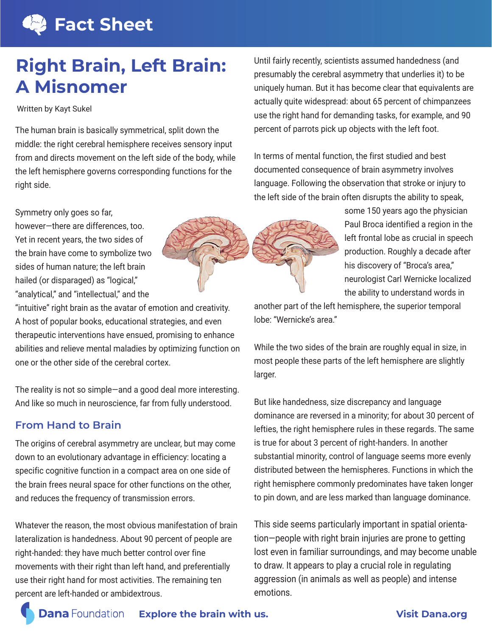# **Fact Sheet**

# **Right Brain, Left Brain: A Misnomer**

Written by Kayt Sukel

The human brain is basically symmetrical, split down the middle: the right cerebral hemisphere receives sensory input from and directs movement on the left side of the body, while the left hemisphere governs corresponding functions for the right side.

Symmetry only goes so far,

"intuitive" right brain as the avatar of emotion and creativity. A host of popular books, educational strategies, and even therapeutic interventions have ensued, promising to enhance abilities and relieve mental maladies by optimizing function on one or the other side of the cerebral cortex.

The reality is not so simple—and a good deal more interesting. And like so much in neuroscience, far from fully understood.

### **From Hand to Brain**

The origins of cerebral asymmetry are unclear, but may come down to an evolutionary advantage in efficiency: locating a specific cognitive function in a compact area on one side of the brain frees neural space for other functions on the other, and reduces the frequency of transmission errors.

Whatever the reason, the most obvious manifestation of brain lateralization is handedness. About 90 percent of people are right-handed: they have much better control over fine movements with their right than left hand, and preferentially use their right hand for most activities. The remaining ten percent are left-handed or ambidextrous. emotions.

Until fairly recently, scientists assumed handedness (and presumably the cerebral asymmetry that underlies it) to be uniquely human. But it has become clear that equivalents are actually quite widespread: about 65 percent of chimpanzees use the right hand for demanding tasks, for example, and 90 percent of parrots pick up objects with the left foot.

In terms of mental function, the first studied and best documented consequence of brain asymmetry involves language. Following the observation that stroke or injury to the left side of the brain often disrupts the ability to speak,

some 150 years ago the physician

another part of the left hemisphere, the superior temporal lobe: "Wernicke's area."

While the two sides of the brain are roughly equal in size, in most people these parts of the left hemisphere are slightly larger.

But like handedness, size discrepancy and language dominance are reversed in a minority; for about 30 percent of lefties, the right hemisphere rules in these regards. The same is true for about 3 percent of right-handers. In another substantial minority, control of language seems more evenly distributed between the hemispheres. Functions in which the right hemisphere commonly predominates have taken longer to pin down, and are less marked than language dominance.

This side seems particularly important in spatial orientation—people with right brain injuries are prone to getting lost even in familiar surroundings, and may become unable to draw. It appears to play a crucial role in regulating aggression (in animals as well as people) and intense